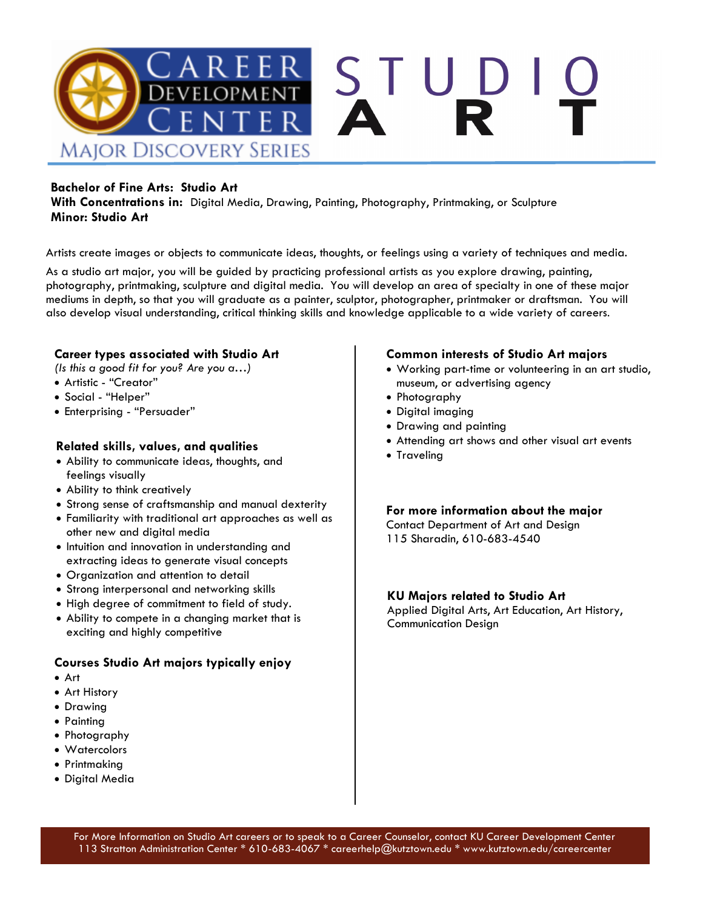

### **Bachelor of Fine Arts: Studio Art**

**With Concentrations in:** Digital Media, Drawing, Painting, Photography, Printmaking, or Sculpture **Minor: Studio Art**

Artists create images or objects to communicate ideas, thoughts, or feelings using a variety of techniques and media.

As a studio art major, you will be guided by practicing professional artists as you explore drawing, painting, photography, printmaking, sculpture and digital media. You will develop an area of specialty in one of these major mediums in depth, so that you will graduate as a painter, sculptor, photographer, printmaker or draftsman. You will also develop visual understanding, critical thinking skills and knowledge applicable to a wide variety of careers.

### **Career types associated with Studio Art**

*(Is this a good fit for you? Are you a…)*

- Artistic "Creator"
- Social "Helper"
- Enterprising "Persuader"

### **Related skills, values, and qualities**

- Ability to communicate ideas, thoughts, and feelings visually
- Ability to think creatively
- Strong sense of craftsmanship and manual dexterity
- Familiarity with traditional art approaches as well as other new and digital media
- Intuition and innovation in understanding and extracting ideas to generate visual concepts
- Organization and attention to detail
- Strong interpersonal and networking skills
- High degree of commitment to field of study.
- Ability to compete in a changing market that is exciting and highly competitive

### **Courses Studio Art majors typically enjoy**

- Art
- Art History
- Drawing
- Painting
- Photography
- Watercolors
- Printmaking
- Digital Media

### **Common interests of Studio Art majors**

- Working part-time or volunteering in an art studio, museum, or advertising agency
- Photography
- Digital imaging
- Drawing and painting
- Attending art shows and other visual art events
- Traveling

**For more information about the major**

Contact Department of Art and Design 115 Sharadin, 610-683-4540

### **KU Majors related to Studio Art**

Applied Digital Arts, Art Education, Art History, Communication Design

For More Information on Studio Art careers or to speak to a Career Counselor, contact KU Career Development Center 113 Stratton Administration Center \* 610-683-4067 \* careerhelp@kutztown.edu \* www.kutztown.edu/careercenter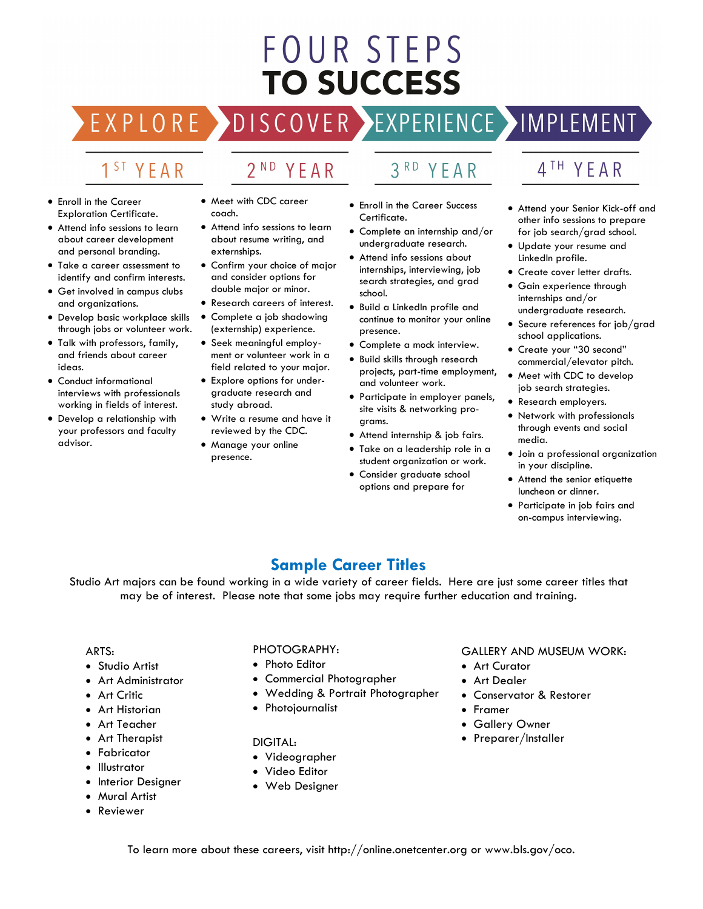# **FOUR STEPS TO SUCCESS**

## DISCOVER EXPERIENCE MOPLEMENT

2<sup>ND</sup> YEAR

### 1<sup>ST</sup> YEAR

EXPLORE >

- Enroll in the Career Exploration Certificate.
- Attend info sessions to learn about career development and personal branding.
- Take a career assessment to identify and confirm interests.
- Get involved in campus clubs and organizations.
- Develop basic workplace skills through jobs or volunteer work.
- Talk with professors, family, and friends about career ideas.
- Conduct informational interviews with professionals working in fields of interest.
- Develop a relationship with your professors and faculty advisor.
- Meet with CDC career coach.
- Attend info sessions to learn about resume writing, and externships.
- Confirm your choice of major and consider options for double major or minor.
- Research careers of interest.
- Complete a job shadowing (externship) experience.
- Seek meaningful employment or volunteer work in a field related to your major.
- Explore options for undergraduate research and study abroad.
- Write a resume and have it reviewed by the CDC.
- Manage your online presence.

### 3RD YEAR

- Enroll in the Career Success Certificate.
- Complete an internship and/or undergraduate research.
- Attend info sessions about internships, interviewing, job search strategies, and grad school.
- Build a LinkedIn profile and continue to monitor your online presence.
- Complete a mock interview.
- Build skills through research projects, part-time employment, and volunteer work.
- Participate in employer panels, site visits & networking programs.
- Attend internship & job fairs.
- Take on a leadership role in a student organization or work.
- Consider graduate school options and prepare for

### 4<sup>TH</sup> YEAR

- Attend your Senior Kick-off and other info sessions to prepare for job search/grad school.
- Update your resume and LinkedIn profile.
- Create cover letter drafts.
- Gain experience through internships and/or undergraduate research.
- Secure references for job/grad school applications.
- Create your "30 second" commercial/elevator pitch.
- Meet with CDC to develop job search strategies.
- Research employers.
- Network with professionals through events and social media.
- Join a professional organization in your discipline.
- Attend the senior etiquette luncheon or dinner.
- Participate in job fairs and on-campus interviewing.

### **Sample Career Titles**

Studio Art majors can be found working in a wide variety of career fields. Here are just some career titles that may be of interest. Please note that some jobs may require further education and training.

#### ARTS:

- Studio Artist
- Art Administrator
- Art Critic
- Art Historian
- Art Teacher
- Art Therapist
- Fabricator
- Illustrator
- Interior Designer
- Mural Artist
- Reviewer

### PHOTOGRAPHY:

- Photo Editor
- Commercial Photographer
- Wedding & Portrait Photographer
- Photojournalist

#### DIGITAL:

- Videographer
- Video Editor
- Web Designer

#### GALLERY AND MUSEUM WORK:

- Art Curator
- **Art Dealer**
- Conservator & Restorer
- Framer
- Gallery Owner
- Preparer/Installer

To learn more about these careers, visit http://online.onetcenter.org or www.bls.gov/oco.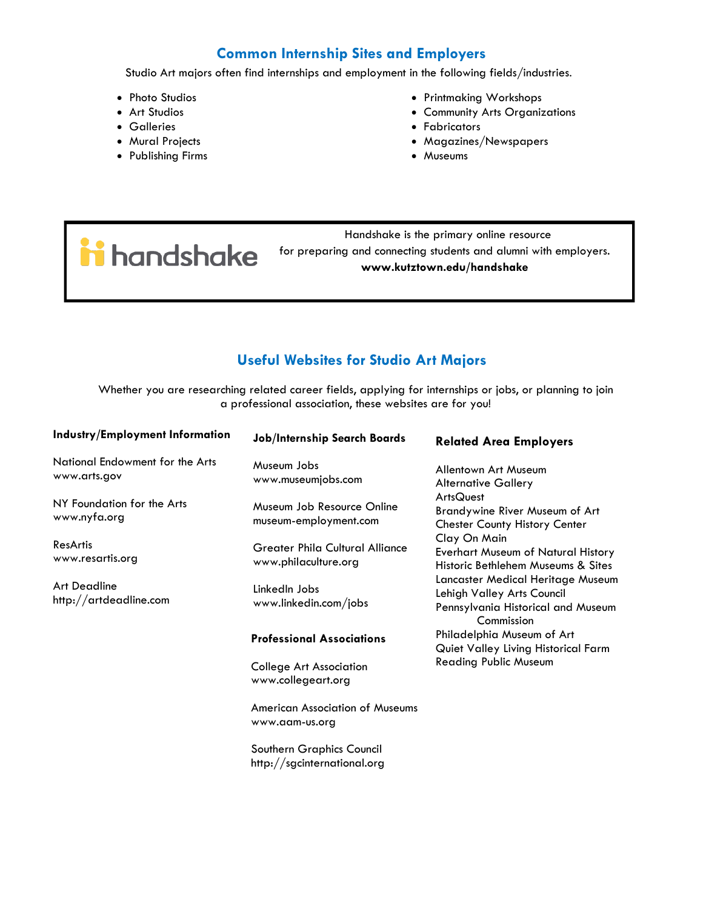### **Common Internship Sites and Employers**

Studio Art majors often find internships and employment in the following fields/industries.

- Photo Studios
- Art Studios
- Galleries
- Mural Projects
- Publishing Firms

ii handshake

- Printmaking Workshops
- Community Arts Organizations
- Fabricators
- Magazines/Newspapers
- Museums

 Handshake is the primary online resource for preparing and connecting students and alumni with employers. **www.kutztown.edu/handshake**

### **Useful Websites for Studio Art Majors**

Whether you are researching related career fields, applying for internships or jobs, or planning to join a professional association, these websites are for you!

| <b>Industry/Employment Information</b>          | <b>Job/Internship Search Boards</b>                            | <b>Related Area Employers</b>                                                                                                                                                                                                                                                                                                                                                                                             |
|-------------------------------------------------|----------------------------------------------------------------|---------------------------------------------------------------------------------------------------------------------------------------------------------------------------------------------------------------------------------------------------------------------------------------------------------------------------------------------------------------------------------------------------------------------------|
| National Endowment for the Arts<br>www.arts.gov | Museum Jobs<br>www.museumjobs.com                              | Allentown Art Museum<br><b>Alternative Gallery</b>                                                                                                                                                                                                                                                                                                                                                                        |
| NY Foundation for the Arts<br>www.nyfa.org      | Museum Job Resource Online<br>museum-employment.com            | <b>ArtsQuest</b><br><b>Brandywine River Museum of Art</b><br><b>Chester County History Center</b><br>Clay On Main<br>Everhart Museum of Natural History<br>Historic Bethlehem Museums & Sites<br>Lancaster Medical Heritage Museum<br>Lehigh Valley Arts Council<br>Pennsylvania Historical and Museum<br>Commission<br>Philadelphia Museum of Art<br>Quiet Valley Living Historical Farm<br><b>Reading Public Museum</b> |
| ResArtis<br>www.resartis.org                    | <b>Greater Phila Cultural Alliance</b><br>www.philaculture.org |                                                                                                                                                                                                                                                                                                                                                                                                                           |
| <b>Art Deadline</b><br>http://artdeadline.com   | LinkedIn Jobs<br>www.linkedin.com/jobs                         |                                                                                                                                                                                                                                                                                                                                                                                                                           |
|                                                 | <b>Professional Associations</b>                               |                                                                                                                                                                                                                                                                                                                                                                                                                           |
|                                                 | College Art Association<br>www.collegeart.org                  |                                                                                                                                                                                                                                                                                                                                                                                                                           |
|                                                 | American Association of Museums<br>www.aam-us.org              |                                                                                                                                                                                                                                                                                                                                                                                                                           |
|                                                 | Southern Graphics Council                                      |                                                                                                                                                                                                                                                                                                                                                                                                                           |

http://sgcinternational.org